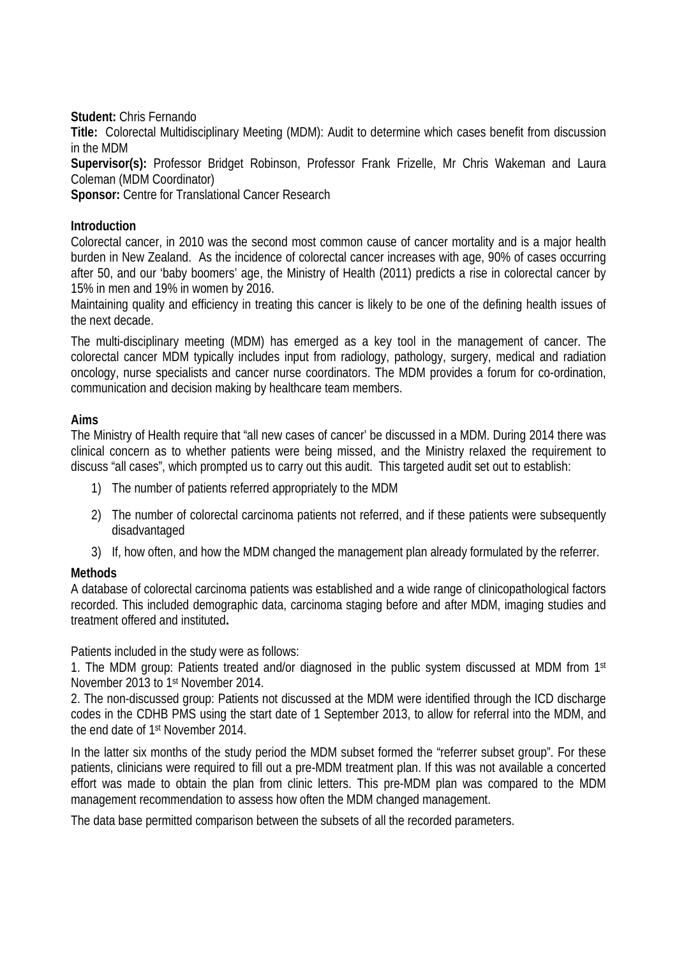**Student:** Chris Fernando

**Title:** Colorectal Multidisciplinary Meeting (MDM): Audit to determine which cases benefit from discussion in the MDM

**Supervisor(s):** Professor Bridget Robinson, Professor Frank Frizelle, Mr Chris Wakeman and Laura Coleman (MDM Coordinator)

**Sponsor:** Centre for Translational Cancer Research

#### **Introduction**

Colorectal cancer, in 2010 was the second most common cause of cancer mortality and is a major health burden in New Zealand. As the incidence of colorectal cancer increases with age, 90% of cases occurring after 50, and our 'baby boomers' age, the Ministry of Health (2011) predicts a rise in colorectal cancer by 15% in men and 19% in women by 2016.

Maintaining quality and efficiency in treating this cancer is likely to be one of the defining health issues of the next decade.

The multi-disciplinary meeting (MDM) has emerged as a key tool in the management of cancer. The colorectal cancer MDM typically includes input from radiology, pathology, surgery, medical and radiation oncology, nurse specialists and cancer nurse coordinators. The MDM provides a forum for co-ordination, communication and decision making by healthcare team members.

#### **Aims**

The Ministry of Health require that "all new cases of cancer' be discussed in a MDM. During 2014 there was clinical concern as to whether patients were being missed, and the Ministry relaxed the requirement to discuss "all cases", which prompted us to carry out this audit. This targeted audit set out to establish:

- 1) The number of patients referred appropriately to the MDM
- 2) The number of colorectal carcinoma patients not referred, and if these patients were subsequently disadvantaged
- 3) If, how often, and how the MDM changed the management plan already formulated by the referrer.

## **Methods**

A database of colorectal carcinoma patients was established and a wide range of clinicopathological factors recorded. This included demographic data, carcinoma staging before and after MDM, imaging studies and treatment offered and instituted**.**

Patients included in the study were as follows:

1. The MDM group: Patients treated and/or diagnosed in the public system discussed at MDM from 1st November 2013 to 1st November 2014.

2. The non-discussed group: Patients not discussed at the MDM were identified through the ICD discharge codes in the CDHB PMS using the start date of 1 September 2013, to allow for referral into the MDM, and the end date of 1st November 2014.

In the latter six months of the study period the MDM subset formed the "referrer subset group". For these patients, clinicians were required to fill out a pre-MDM treatment plan. If this was not available a concerted effort was made to obtain the plan from clinic letters. This pre-MDM plan was compared to the MDM management recommendation to assess how often the MDM changed management.

The data base permitted comparison between the subsets of all the recorded parameters.